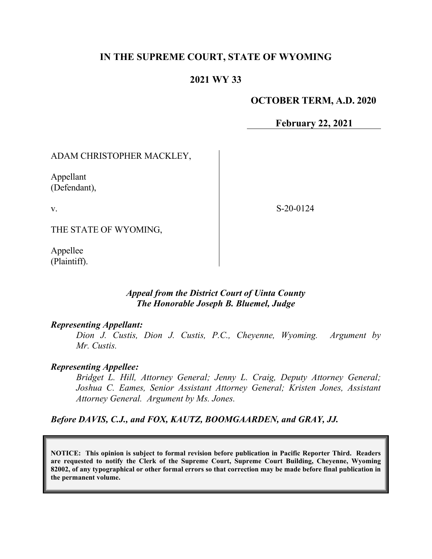## **IN THE SUPREME COURT, STATE OF WYOMING**

### **2021 WY 33**

#### **OCTOBER TERM, A.D. 2020**

**February 22, 2021**

#### ADAM CHRISTOPHER MACKLEY,

Appellant (Defendant),

v.

S-20-0124

THE STATE OF WYOMING,

Appellee (Plaintiff).

#### *Appeal from the District Court of Uinta County The Honorable Joseph B. Bluemel, Judge*

#### *Representing Appellant:*

*Dion J. Custis, Dion J. Custis, P.C., Cheyenne, Wyoming. Argument by Mr. Custis.*

#### *Representing Appellee:*

*Bridget L. Hill, Attorney General; Jenny L. Craig, Deputy Attorney General; Joshua C. Eames, Senior Assistant Attorney General; Kristen Jones, Assistant Attorney General. Argument by Ms. Jones.*

*Before DAVIS, C.J., and FOX, KAUTZ, BOOMGAARDEN, and GRAY, JJ.*

**NOTICE: This opinion is subject to formal revision before publication in Pacific Reporter Third. Readers are requested to notify the Clerk of the Supreme Court, Supreme Court Building, Cheyenne, Wyoming 82002, of any typographical or other formal errors so that correction may be made before final publication in the permanent volume.**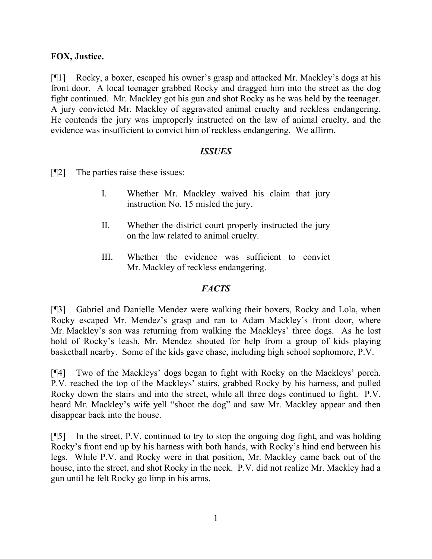# **FOX, Justice.**

[¶1] Rocky, a boxer, escaped his owner's grasp and attacked Mr. Mackley's dogs at his front door. A local teenager grabbed Rocky and dragged him into the street as the dog fight continued. Mr. Mackley got his gun and shot Rocky as he was held by the teenager. A jury convicted Mr. Mackley of aggravated animal cruelty and reckless endangering. He contends the jury was improperly instructed on the law of animal cruelty, and the evidence was insufficient to convict him of reckless endangering. We affirm.

## *ISSUES*

[¶2] The parties raise these issues:

- I. Whether Mr. Mackley waived his claim that jury instruction No. 15 misled the jury.
- II. Whether the district court properly instructed the jury on the law related to animal cruelty.
- III. Whether the evidence was sufficient to convict Mr. Mackley of reckless endangering.

## *FACTS*

[¶3] Gabriel and Danielle Mendez were walking their boxers, Rocky and Lola, when Rocky escaped Mr. Mendez's grasp and ran to Adam Mackley's front door, where Mr. Mackley's son was returning from walking the Mackleys' three dogs. As he lost hold of Rocky's leash, Mr. Mendez shouted for help from a group of kids playing basketball nearby. Some of the kids gave chase, including high school sophomore, P.V.

[¶4] Two of the Mackleys' dogs began to fight with Rocky on the Mackleys' porch. P.V. reached the top of the Mackleys' stairs, grabbed Rocky by his harness, and pulled Rocky down the stairs and into the street, while all three dogs continued to fight. P.V. heard Mr. Mackley's wife yell "shoot the dog" and saw Mr. Mackley appear and then disappear back into the house.

[¶5] In the street, P.V. continued to try to stop the ongoing dog fight, and was holding Rocky's front end up by his harness with both hands, with Rocky's hind end between his legs. While P.V. and Rocky were in that position, Mr. Mackley came back out of the house, into the street, and shot Rocky in the neck. P.V. did not realize Mr. Mackley had a gun until he felt Rocky go limp in his arms.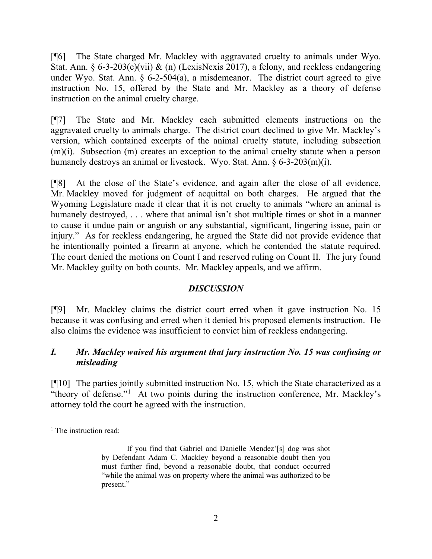[¶6] The State charged Mr. Mackley with aggravated cruelty to animals under Wyo. Stat. Ann. § 6-3-203(c)(vii) & (n) (LexisNexis 2017), a felony, and reckless endangering under Wyo. Stat. Ann. § 6-2-504(a), a misdemeanor. The district court agreed to give instruction No. 15, offered by the State and Mr. Mackley as a theory of defense instruction on the animal cruelty charge.

[¶7] The State and Mr. Mackley each submitted elements instructions on the aggravated cruelty to animals charge. The district court declined to give Mr. Mackley's version, which contained excerpts of the animal cruelty statute, including subsection (m)(i). Subsection (m) creates an exception to the animal cruelty statute when a person humanely destroys an animal or livestock. Wyo. Stat. Ann. § 6-3-203(m)(i).

[¶8] At the close of the State's evidence, and again after the close of all evidence, Mr. Mackley moved for judgment of acquittal on both charges. He argued that the Wyoming Legislature made it clear that it is not cruelty to animals "where an animal is humanely destroyed, . . . where that animal isn't shot multiple times or shot in a manner to cause it undue pain or anguish or any substantial, significant, lingering issue, pain or injury." As for reckless endangering, he argued the State did not provide evidence that he intentionally pointed a firearm at anyone, which he contended the statute required. The court denied the motions on Count I and reserved ruling on Count II. The jury found Mr. Mackley guilty on both counts. Mr. Mackley appeals, and we affirm.

## *DISCUSSION*

[¶9] Mr. Mackley claims the district court erred when it gave instruction No. 15 because it was confusing and erred when it denied his proposed elements instruction. He also claims the evidence was insufficient to convict him of reckless endangering.

# *I. Mr. Mackley waived his argument that jury instruction No. 15 was confusing or misleading*

[¶10] The parties jointly submitted instruction No. 15, which the State characterized as a "theory of defense."<sup>[1](#page-2-0)</sup> At two points during the instruction conference, Mr. Mackley's attorney told the court he agreed with the instruction.

<span id="page-2-0"></span><sup>&</sup>lt;sup>1</sup> The instruction read:

If you find that Gabriel and Danielle Mendez'[s] dog was shot by Defendant Adam C. Mackley beyond a reasonable doubt then you must further find, beyond a reasonable doubt, that conduct occurred "while the animal was on property where the animal was authorized to be present."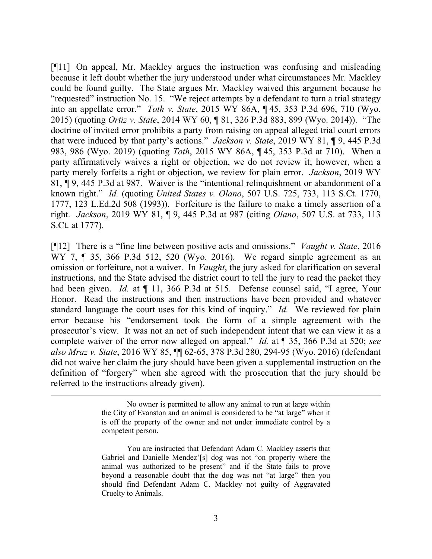[¶11] On appeal, Mr. Mackley argues the instruction was confusing and misleading because it left doubt whether the jury understood under what circumstances Mr. Mackley could be found guilty. The State argues Mr. Mackley waived this argument because he "requested" instruction No. 15. "We reject attempts by a defendant to turn a trial strategy into an appellate error." *Toth v. State*, 2015 WY 86A, ¶ 45, 353 P.3d 696, 710 (Wyo. 2015) (quoting *Ortiz v. State*, 2014 WY 60, ¶ 81, 326 P.3d 883, 899 (Wyo. 2014)). "The doctrine of invited error prohibits a party from raising on appeal alleged trial court errors that were induced by that party's actions." *Jackson v. State*, 2019 WY 81, ¶ 9, 445 P.3d 983, 986 (Wyo. 2019) (quoting *Toth*, 2015 WY 86A, ¶ 45, 353 P.3d at 710). When a party affirmatively waives a right or objection, we do not review it; however, when a party merely forfeits a right or objection, we review for plain error. *Jackson*, 2019 WY 81, ¶ 9, 445 P.3d at 987. Waiver is the "intentional relinquishment or abandonment of a known right." *Id.* (quoting *United States v. Olano*, 507 U.S. 725, 733, 113 S.Ct. 1770, 1777, 123 L.Ed.2d 508 (1993)). Forfeiture is the failure to make a timely assertion of a right. *Jackson*, 2019 WY 81, ¶ 9, 445 P.3d at 987 (citing *Olano*, 507 U.S. at 733, 113 S.Ct. at 1777).

[¶12] There is a "fine line between positive acts and omissions." *Vaught v. State*, 2016 WY 7, ¶ 35, 366 P.3d 512, 520 (Wyo. 2016). We regard simple agreement as an omission or forfeiture, not a waiver. In *Vaught*, the jury asked for clarification on several instructions, and the State advised the district court to tell the jury to read the packet they had been given. *Id.* at  $\P$  11, 366 P.3d at 515. Defense counsel said, "I agree, Your Honor. Read the instructions and then instructions have been provided and whatever standard language the court uses for this kind of inquiry." *Id.* We reviewed for plain error because his "endorsement took the form of a simple agreement with the prosecutor's view. It was not an act of such independent intent that we can view it as a complete waiver of the error now alleged on appeal." *Id.* at ¶ 35, 366 P.3d at 520; *see also Mraz v. State*, 2016 WY 85, ¶¶ 62-65, 378 P.3d 280, 294-95 (Wyo. 2016) (defendant did not waive her claim the jury should have been given a supplemental instruction on the definition of "forgery" when she agreed with the prosecution that the jury should be referred to the instructions already given).

No owner is permitted to allow any animal to run at large within the City of Evanston and an animal is considered to be "at large" when it is off the property of the owner and not under immediate control by a competent person.

You are instructed that Defendant Adam C. Mackley asserts that Gabriel and Danielle Mendez'[s] dog was not "on property where the animal was authorized to be present" and if the State fails to prove beyond a reasonable doubt that the dog was not "at large" then you should find Defendant Adam C. Mackley not guilty of Aggravated Cruelty to Animals.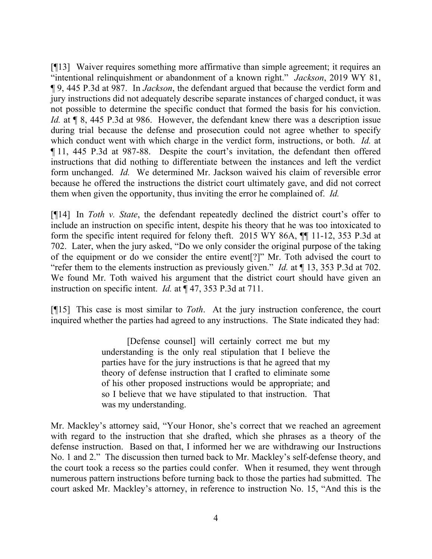[¶13] Waiver requires something more affirmative than simple agreement; it requires an "intentional relinquishment or abandonment of a known right." *Jackson*, 2019 WY 81, ¶ 9, 445 P.3d at 987. In *Jackson*, the defendant argued that because the verdict form and jury instructions did not adequately describe separate instances of charged conduct, it was not possible to determine the specific conduct that formed the basis for his conviction. *Id.* at  $\llbracket 8, 445 \text{ P}$ . 3d at 986. However, the defendant knew there was a description issue during trial because the defense and prosecution could not agree whether to specify which conduct went with which charge in the verdict form, instructions, or both. *Id.* at ¶ 11, 445 P.3d at 987-88. Despite the court's invitation, the defendant then offered instructions that did nothing to differentiate between the instances and left the verdict form unchanged. *Id.* We determined Mr. Jackson waived his claim of reversible error because he offered the instructions the district court ultimately gave, and did not correct them when given the opportunity, thus inviting the error he complained of. *Id.*

[¶14] In *Toth v. State*, the defendant repeatedly declined the district court's offer to include an instruction on specific intent, despite his theory that he was too intoxicated to form the specific intent required for felony theft. 2015 WY 86A, ¶¶ 11-12, 353 P.3d at 702. Later, when the jury asked, "Do we only consider the original purpose of the taking of the equipment or do we consider the entire event[?]" Mr. Toth advised the court to "refer them to the elements instruction as previously given." *Id.* at ¶ 13, 353 P.3d at 702. We found Mr. Toth waived his argument that the district court should have given an instruction on specific intent. *Id.* at ¶ 47, 353 P.3d at 711.

[¶15] This case is most similar to *Toth*. At the jury instruction conference, the court inquired whether the parties had agreed to any instructions. The State indicated they had:

> [Defense counsel] will certainly correct me but my understanding is the only real stipulation that I believe the parties have for the jury instructions is that he agreed that my theory of defense instruction that I crafted to eliminate some of his other proposed instructions would be appropriate; and so I believe that we have stipulated to that instruction. That was my understanding.

Mr. Mackley's attorney said, "Your Honor, she's correct that we reached an agreement with regard to the instruction that she drafted, which she phrases as a theory of the defense instruction. Based on that, I informed her we are withdrawing our Instructions No. 1 and 2." The discussion then turned back to Mr. Mackley's self-defense theory, and the court took a recess so the parties could confer. When it resumed, they went through numerous pattern instructions before turning back to those the parties had submitted. The court asked Mr. Mackley's attorney, in reference to instruction No. 15, "And this is the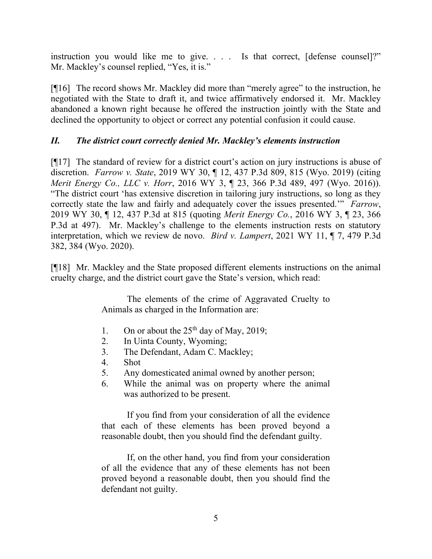instruction you would like me to give. . . . Is that correct, [defense counsel]?" Mr. Mackley's counsel replied, "Yes, it is."

[¶16] The record shows Mr. Mackley did more than "merely agree" to the instruction, he negotiated with the State to draft it, and twice affirmatively endorsed it. Mr. Mackley abandoned a known right because he offered the instruction jointly with the State and declined the opportunity to object or correct any potential confusion it could cause.

# *II. The district court correctly denied Mr. Mackley's elements instruction*

[¶17] The standard of review for a district court's action on jury instructions is abuse of discretion. *Farrow v. State*, 2019 WY 30, ¶ 12, 437 P.3d 809, 815 (Wyo. 2019) (citing *Merit Energy Co., LLC v. Horr*, 2016 WY 3, ¶ 23, 366 P.3d 489, 497 (Wyo. 2016)). "The district court 'has extensive discretion in tailoring jury instructions, so long as they correctly state the law and fairly and adequately cover the issues presented.'" *Farrow*, 2019 WY 30, ¶ 12, 437 P.3d at 815 (quoting *Merit Energy Co.*, 2016 WY 3, ¶ 23, 366 P.3d at 497). Mr. Mackley's challenge to the elements instruction rests on statutory interpretation, which we review de novo. *Bird v. Lampert*, 2021 WY 11, ¶ 7, 479 P.3d 382, 384 (Wyo. 2020).

[¶18] Mr. Mackley and the State proposed different elements instructions on the animal cruelty charge, and the district court gave the State's version, which read:

> The elements of the crime of Aggravated Cruelty to Animals as charged in the Information are:

- 1. On or about the  $25<sup>th</sup>$  day of May, 2019;
- 2. In Uinta County, Wyoming;
- 3. The Defendant, Adam C. Mackley;
- 4. Shot
- 5. Any domesticated animal owned by another person;
- 6. While the animal was on property where the animal was authorized to be present.

If you find from your consideration of all the evidence that each of these elements has been proved beyond a reasonable doubt, then you should find the defendant guilty.

If, on the other hand, you find from your consideration of all the evidence that any of these elements has not been proved beyond a reasonable doubt, then you should find the defendant not guilty.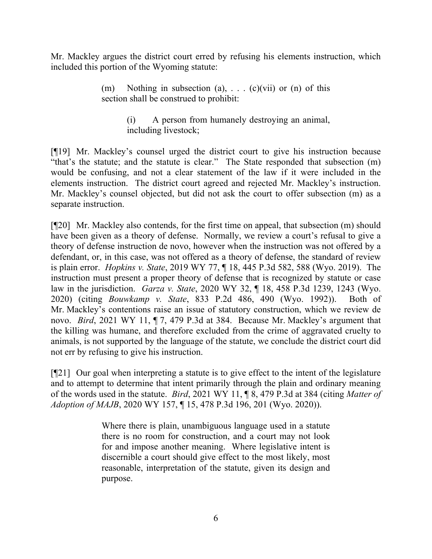Mr. Mackley argues the district court erred by refusing his elements instruction, which included this portion of the Wyoming statute:

> (m) Nothing in subsection (a),  $\dots$  (c)(vii) or (n) of this section shall be construed to prohibit:

> > (i) A person from humanely destroying an animal, including livestock;

[¶19] Mr. Mackley's counsel urged the district court to give his instruction because "that's the statute; and the statute is clear." The State responded that subsection (m) would be confusing, and not a clear statement of the law if it were included in the elements instruction. The district court agreed and rejected Mr. Mackley's instruction. Mr. Mackley's counsel objected, but did not ask the court to offer subsection (m) as a separate instruction.

[¶20] Mr. Mackley also contends, for the first time on appeal, that subsection (m) should have been given as a theory of defense. Normally, we review a court's refusal to give a theory of defense instruction de novo, however when the instruction was not offered by a defendant, or, in this case, was not offered as a theory of defense, the standard of review is plain error. *Hopkins v. State*, 2019 WY 77, ¶ 18, 445 P.3d 582, 588 (Wyo. 2019). The instruction must present a proper theory of defense that is recognized by statute or case law in the jurisdiction. *Garza v. State*, 2020 WY 32, ¶ 18, 458 P.3d 1239, 1243 (Wyo. 2020) (citing *Bouwkamp v. State*, 833 P.2d 486, 490 (Wyo. 1992)). Both of Mr. Mackley's contentions raise an issue of statutory construction, which we review de novo. *Bird*, 2021 WY 11, ¶ 7, 479 P.3d at 384. Because Mr. Mackley's argument that the killing was humane, and therefore excluded from the crime of aggravated cruelty to animals, is not supported by the language of the statute, we conclude the district court did not err by refusing to give his instruction.

[¶21] Our goal when interpreting a statute is to give effect to the intent of the legislature and to attempt to determine that intent primarily through the plain and ordinary meaning of the words used in the statute. *Bird*, 2021 WY 11, ¶ 8, 479 P.3d at 384 (citing *Matter of Adoption of MAJB*, 2020 WY 157, ¶ 15, 478 P.3d 196, 201 (Wyo. 2020)).

> Where there is plain, unambiguous language used in a statute there is no room for construction, and a court may not look for and impose another meaning. Where legislative intent is discernible a court should give effect to the most likely, most reasonable, interpretation of the statute, given its design and purpose.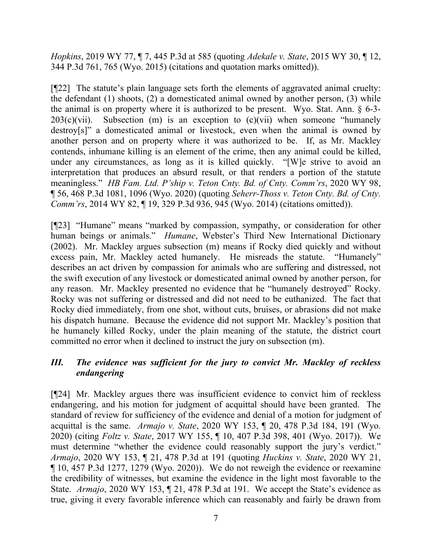*Hopkins*, 2019 WY 77, ¶ 7, 445 P.3d at 585 (quoting *Adekale v. State*, 2015 WY 30, ¶ 12, 344 P.3d 761, 765 (Wyo. 2015) (citations and quotation marks omitted)).

[¶22] The statute's plain language sets forth the elements of aggravated animal cruelty: the defendant (1) shoots, (2) a domesticated animal owned by another person, (3) while the animal is on property where it is authorized to be present. Wyo. Stat. Ann. § 6-3-  $203(c)(vii)$ . Subsection (m) is an exception to  $(c)(vi)$  when someone "humanely destroy[s]" a domesticated animal or livestock, even when the animal is owned by another person and on property where it was authorized to be. If, as Mr. Mackley contends, inhumane killing is an element of the crime, then any animal could be killed, under any circumstances, as long as it is killed quickly. "[W]e strive to avoid an interpretation that produces an absurd result, or that renders a portion of the statute meaningless." *HB Fam. Ltd. P'ship v. Teton Cnty. Bd. of Cnty. Comm'rs*, 2020 WY 98, ¶ 56, 468 P.3d 1081, 1096 (Wyo. 2020) (quoting *Seherr-Thoss v. Teton Cnty. Bd. of Cnty. Comm'rs*, 2014 WY 82, 19, 329 P.3d 936, 945 (Wyo. 2014) (citations omitted)).

[¶23] "Humane" means "marked by compassion, sympathy, or consideration for other human beings or animals." *Humane*, Webster's Third New International Dictionary (2002). Mr. Mackley argues subsection (m) means if Rocky died quickly and without excess pain, Mr. Mackley acted humanely. He misreads the statute. "Humanely" describes an act driven by compassion for animals who are suffering and distressed, not the swift execution of any livestock or domesticated animal owned by another person, for any reason. Mr. Mackley presented no evidence that he "humanely destroyed" Rocky. Rocky was not suffering or distressed and did not need to be euthanized. The fact that Rocky died immediately, from one shot, without cuts, bruises, or abrasions did not make his dispatch humane. Because the evidence did not support Mr. Mackley's position that he humanely killed Rocky, under the plain meaning of the statute, the district court committed no error when it declined to instruct the jury on subsection (m).

# *III. The evidence was sufficient for the jury to convict Mr. Mackley of reckless endangering*

[¶24] Mr. Mackley argues there was insufficient evidence to convict him of reckless endangering, and his motion for judgment of acquittal should have been granted. The standard of review for sufficiency of the evidence and denial of a motion for judgment of acquittal is the same. *Armajo v. State*, 2020 WY 153, ¶ 20, 478 P.3d 184, 191 (Wyo. 2020) (citing *Foltz v. State*, 2017 WY 155, ¶ 10, 407 P.3d 398, 401 (Wyo. 2017)). We must determine "whether the evidence could reasonably support the jury's verdict." *Armajo*, 2020 WY 153, ¶ 21, 478 P.3d at 191 (quoting *Huckins v. State*, 2020 WY 21, ¶ 10, 457 P.3d 1277, 1279 (Wyo. 2020)). We do not reweigh the evidence or reexamine the credibility of witnesses, but examine the evidence in the light most favorable to the State. *Armajo*, 2020 WY 153, ¶ 21, 478 P.3d at 191. We accept the State's evidence as true, giving it every favorable inference which can reasonably and fairly be drawn from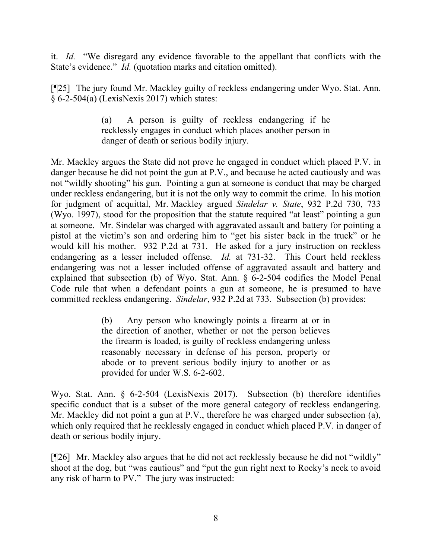it. *Id.* "We disregard any evidence favorable to the appellant that conflicts with the State's evidence." *Id.* (quotation marks and citation omitted).

[¶25] The jury found Mr. Mackley guilty of reckless endangering under Wyo. Stat. Ann. § 6-2-504(a) (LexisNexis 2017) which states:

> (a) A person is guilty of reckless endangering if he recklessly engages in conduct which places another person in danger of death or serious bodily injury.

Mr. Mackley argues the State did not prove he engaged in conduct which placed P.V. in danger because he did not point the gun at P.V., and because he acted cautiously and was not "wildly shooting" his gun. Pointing a gun at someone is conduct that may be charged under reckless endangering, but it is not the only way to commit the crime. In his motion for judgment of acquittal, Mr. Mackley argued *Sindelar v. State*, 932 P.2d 730, 733 (Wyo. 1997), stood for the proposition that the statute required "at least" pointing a gun at someone. Mr. Sindelar was charged with aggravated assault and battery for pointing a pistol at the victim's son and ordering him to "get his sister back in the truck" or he would kill his mother. 932 P.2d at 731. He asked for a jury instruction on reckless endangering as a lesser included offense. *Id.* at 731-32. This Court held reckless endangering was not a lesser included offense of aggravated assault and battery and explained that subsection (b) of Wyo. Stat. Ann. § 6-2-504 codifies the Model Penal Code rule that when a defendant points a gun at someone, he is presumed to have committed reckless endangering. *Sindelar*, 932 P.2d at 733. Subsection (b) provides:

> (b) Any person who knowingly points a firearm at or in the direction of another, whether or not the person believes the firearm is loaded, is guilty of reckless endangering unless reasonably necessary in defense of his person, property or abode or to prevent serious bodily injury to another or as provided for under W.S. 6-2-602.

Wyo. Stat. Ann. § 6-2-504 (LexisNexis 2017). Subsection (b) therefore identifies specific conduct that is a subset of the more general category of reckless endangering. Mr. Mackley did not point a gun at P.V., therefore he was charged under subsection (a), which only required that he recklessly engaged in conduct which placed P.V. in danger of death or serious bodily injury.

[¶26] Mr. Mackley also argues that he did not act recklessly because he did not "wildly" shoot at the dog, but "was cautious" and "put the gun right next to Rocky's neck to avoid any risk of harm to PV." The jury was instructed: